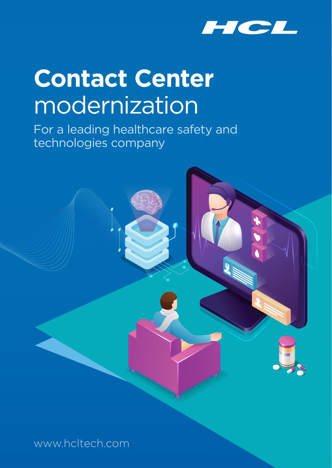

# **Contact Center**  modernization

For a leading healthcare safety and technologies company



www.hcltech.com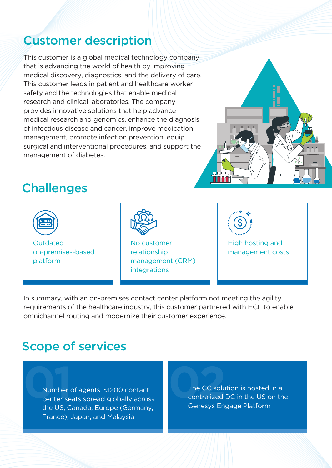## Customer description

This customer is a global medical technology company that is advancing the world of health by improving medical discovery, diagnostics, and the delivery of care. This customer leads in patient and healthcare worker safety and the technologies that enable medical research and clinical laboratories. The company provides innovative solutions that help advance medical research and genomics, enhance the diagnosis of infectious disease and cancer, improve medication management, promote infection prevention, equip surgical and interventional procedures, and support the management of diabetes.



# **Challenges**



In summary, with an on-premises contact center platform not meeting the agility requirements of the healthcare industry, this customer partnered with HCL to enable omnichannel routing and modernize their customer experience.

## Scope of services

**01**Number of agents: ≈1200 contact center seats spread globally across the US, Canada, Europe (Germany, France), Japan, and Malaysia

The CC solution is hosted in a<br>
centralized DC in the US on th<br>
Genesys Engage Platform centralized DC in the US on the Genesys Engage Platform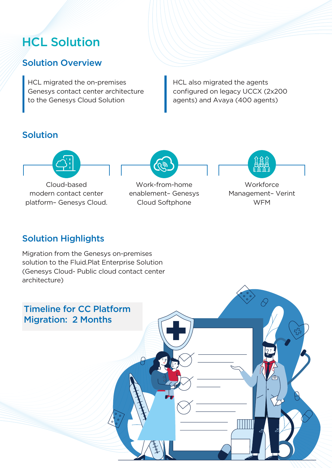# **HCL Solution**

#### Solution Overview

HCL migrated the on-premises Genesys contact center architecture to the Genesys Cloud Solution

HCL also migrated the agents configured on legacy UCCX (2x200 agents) and Avaya (400 agents)

#### Solution



Cloud-based modern contact center platform– Genesys Cloud.

#### Work-from-home enablement– Genesys Cloud Softphone



#### Solution Highlights

Migration from the Genesys on-premises solution to the Fluid.Plat Enterprise Solution (Genesys Cloud- Public cloud contact center architecture)

# Timeline for CC Platform Migration: 2 Months